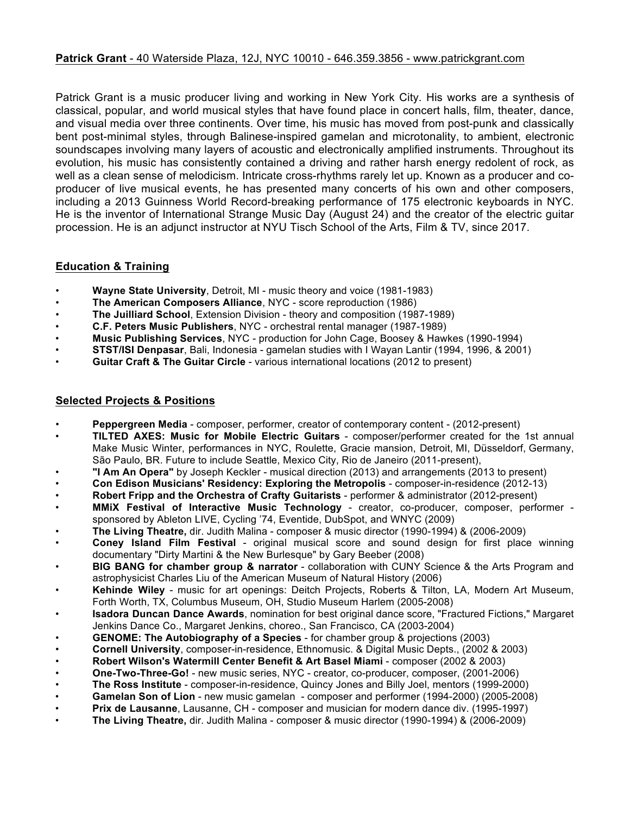## **Patrick Grant** - 40 Waterside Plaza, 12J, NYC 10010 - 646.359.3856 - www.patrickgrant.com

Patrick Grant is a music producer living and working in New York City. His works are a synthesis of classical, popular, and world musical styles that have found place in concert halls, film, theater, dance, and visual media over three continents. Over time, his music has moved from post-punk and classically bent post-minimal styles, through Balinese-inspired gamelan and microtonality, to ambient, electronic soundscapes involving many layers of acoustic and electronically amplified instruments. Throughout its evolution, his music has consistently contained a driving and rather harsh energy redolent of rock, as well as a clean sense of melodicism. Intricate cross-rhythms rarely let up. Known as a producer and coproducer of live musical events, he has presented many concerts of his own and other composers, including a 2013 Guinness World Record-breaking performance of 175 electronic keyboards in NYC. He is the inventor of International Strange Music Day (August 24) and the creator of the electric guitar procession. He is an adjunct instructor at NYU Tisch School of the Arts, Film & TV, since 2017.

## **Education & Training**

- **Wayne State University**, Detroit, MI music theory and voice (1981-1983)
- **The American Composers Alliance**, NYC score reproduction (1986)
- **The Juilliard School**, Extension Division theory and composition (1987-1989)
- **C.F. Peters Music Publishers**, NYC orchestral rental manager (1987-1989)
- **Music Publishing Services**, NYC production for John Cage, Boosey & Hawkes (1990-1994)
- **STST/ISI Denpasar**, Bali, Indonesia gamelan studies with I Wayan Lantir (1994, 1996, & 2001)
- **Guitar Craft & The Guitar Circle** various international locations (2012 to present)

## **Selected Projects & Positions**

- **Peppergreen Media** composer, performer, creator of contemporary content (2012-present)
- **TILTED AXES: Music for Mobile Electric Guitars** composer/performer created for the 1st annual Make Music Winter, performances in NYC, Roulette, Gracie mansion, Detroit, MI, Düsseldorf, Germany, São Paulo, BR. Future to include Seattle, Mexico City, Rio de Janeiro (2011-present),
- **"I Am An Opera"** by Joseph Keckler musical direction (2013) and arrangements (2013 to present)
- **Con Edison Musicians' Residency: Exploring the Metropolis** composer-in-residence (2012-13)
- **Robert Fripp and the Orchestra of Crafty Guitarists** performer & administrator (2012-present)
- **MMiX Festival of Interactive Music Technology** creator, co-producer, composer, performer sponsored by Ableton LIVE, Cycling '74, Eventide, DubSpot, and WNYC (2009)
- **The Living Theatre,** dir. Judith Malina composer & music director (1990-1994) & (2006-2009)
- **Coney Island Film Festival** original musical score and sound design for first place winning documentary "Dirty Martini & the New Burlesque" by Gary Beeber (2008)
- **BIG BANG for chamber group & narrator** collaboration with CUNY Science & the Arts Program and astrophysicist Charles Liu of the American Museum of Natural History (2006)
- **Kehinde Wiley** music for art openings: Deitch Projects, Roberts & Tilton, LA, Modern Art Museum, Forth Worth, TX, Columbus Museum, OH, Studio Museum Harlem (2005-2008)
- **Isadora Duncan Dance Awards**, nomination for best original dance score, "Fractured Fictions," Margaret Jenkins Dance Co., Margaret Jenkins, choreo., San Francisco, CA (2003-2004)
- **GENOME: The Autobiography of a Species** for chamber group & projections (2003)
- **Cornell University**, composer-in-residence, Ethnomusic. & Digital Music Depts., (2002 & 2003)
- **Robert Wilson's Watermill Center Benefit & Art Basel Miami** composer (2002 & 2003)
- **One-Two-Three-Go!** new music series, NYC creator, co-producer, composer, (2001-2006)
- **The Ross Institute**  composer-in-residence, Quincy Jones and Billy Joel, mentors (1999-2000)
- **Gamelan Son of Lion** new music gamelan composer and performer (1994-2000) (2005-2008)
- **Prix de Lausanne**, Lausanne, CH composer and musician for modern dance div. (1995-1997)
- **The Living Theatre,** dir. Judith Malina composer & music director (1990-1994) & (2006-2009)